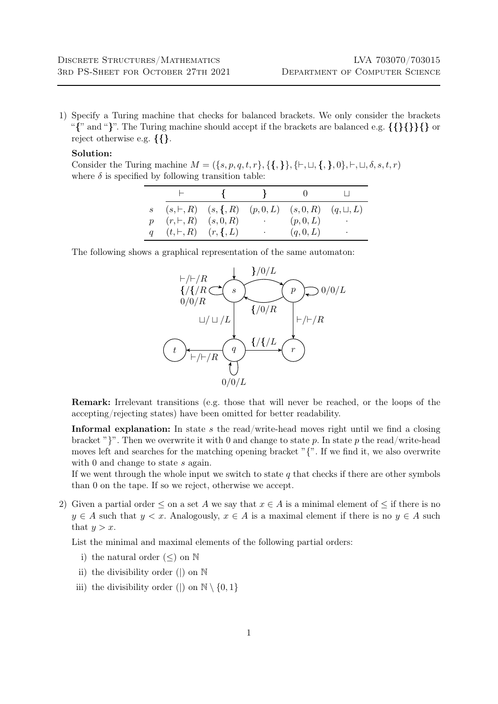1) Specify a Turing machine that checks for balanced brackets. We only consider the brackets "{" and "}". The Turing machine should accept if the brackets are balanced e.g. {{}{}}{} or reject otherwise e.g. {{}.

## Solution:

Consider the Turing machine  $M = (\{s, p, q, t, r\}, \{\{\},\{\}, \{\}, \sqcup, \{\}, \}, \neg, \sqcup, \delta, s, t, r)$ where  $\delta$  is specified by following transition table:

|                                          | $\mathbf{R}$                                                               |                                                                   |         |           |
|------------------------------------------|----------------------------------------------------------------------------|-------------------------------------------------------------------|---------|-----------|
|                                          | $s$ $(s, \vdash, R)$ $(s, \{, R)$ $(p, 0, L)$ $(s, 0, R)$ $(q, \sqcup, L)$ |                                                                   |         |           |
| $p \quad (r, \vdash, R) \quad (s, 0, R)$ |                                                                            | $\mathcal{L}(\mathcal{A})$ , and $\mathcal{L}(\mathcal{A})$ , and | (p,0,L) | $\bullet$ |
| $q(t, \vdash, R)$ $(r, \{, L\})$         |                                                                            | <b>Contractor</b>                                                 | (q,0,L) | $\bullet$ |

The following shows a graphical representation of the same automaton:



Remark: Irrelevant transitions (e.g. those that will never be reached, or the loops of the accepting/rejecting states) have been omitted for better readability.

Informal explanation: In state s the read/write-head moves right until we find a closing bracket "}". Then we overwrite it with 0 and change to state p. In state p the read/write-head moves left and searches for the matching opening bracket " $\{$ ". If we find it, we also overwrite with  $0$  and change to state  $s$  again.

If we went through the whole input we switch to state  $q$  that checks if there are other symbols than 0 on the tape. If so we reject, otherwise we accept.

2) Given a partial order  $\leq$  on a set A we say that  $x \in A$  is a minimal element of  $\leq$  if there is no  $y \in A$  such that  $y < x$ . Analogously,  $x \in A$  is a maximal element if there is no  $y \in A$  such that  $y > x$ .

List the minimal and maximal elements of the following partial orders:

- i) the natural order  $(\le)$  on  $\mathbb N$
- ii) the divisibility order (|) on N
- iii) the divisibility order (|) on  $\mathbb{N} \setminus \{0,1\}$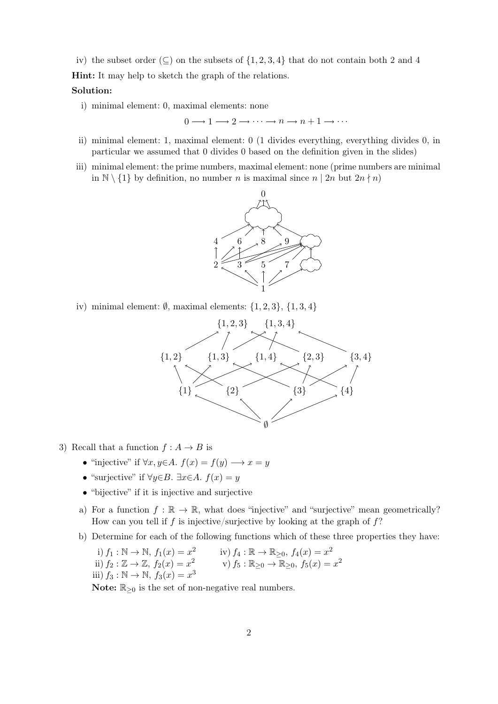iv) the subset order ( $\subseteq$ ) on the subsets of  $\{1, 2, 3, 4\}$  that do not contain both 2 and 4 Hint: It may help to sketch the graph of the relations.

## Solution:

i) minimal element: 0, maximal elements: none

 $0 \longrightarrow 1 \longrightarrow 2 \longrightarrow \cdots \longrightarrow n \longrightarrow n+1 \longrightarrow \cdots$ 

- ii) minimal element: 1, maximal element: 0 (1 divides everything, everything divides 0, in particular we assumed that 0 divides 0 based on the definition given in the slides)
- iii) minimal element: the prime numbers, maximal element: none (prime numbers are minimal in  $\mathbb{N} \setminus \{1\}$  by definition, no number *n* is maximal since  $n \mid 2n$  but  $2n \nmid n$



iv) minimal element:  $\emptyset$ , maximal elements:  $\{1, 2, 3\}$ ,  $\{1, 3, 4\}$ 



- 3) Recall that a function  $f : A \to B$  is
	- "injective" if  $\forall x, y \in A$ .  $f(x) = f(y) \longrightarrow x = y$
	- "surjective" if  $\forall y \in B$ .  $\exists x \in A$ .  $f(x) = y$
	- "bijective" if it is injective and surjective
	- a) For a function  $f : \mathbb{R} \to \mathbb{R}$ , what does "injective" and "surjective" mean geometrically? How can you tell if f is injective/surjective by looking at the graph of  $f$ ?
	- b) Determine for each of the following functions which of these three properties they have:

i) 
$$
f_1 : \mathbb{N} \to \mathbb{N}
$$
,  $f_1(x) = x^2$   
\nii)  $f_2 : \mathbb{Z} \to \mathbb{Z}$ ,  $f_2(x) = x^2$   
\niii)  $f_3 : \mathbb{N} \to \mathbb{N}$ ,  $f_3(x) = x^3$   
\niv)  $f_4 : \mathbb{R} \to \mathbb{R}_{\geq 0}$ ,  $f_4(x) = x^2$   
\nv)  $f_5 : \mathbb{R}_{\geq 0} \to \mathbb{R}_{\geq 0}$ ,  $f_5(x) = x^2$ 

Note:  $\mathbb{R}_{\geq 0}$  is the set of non-negative real numbers.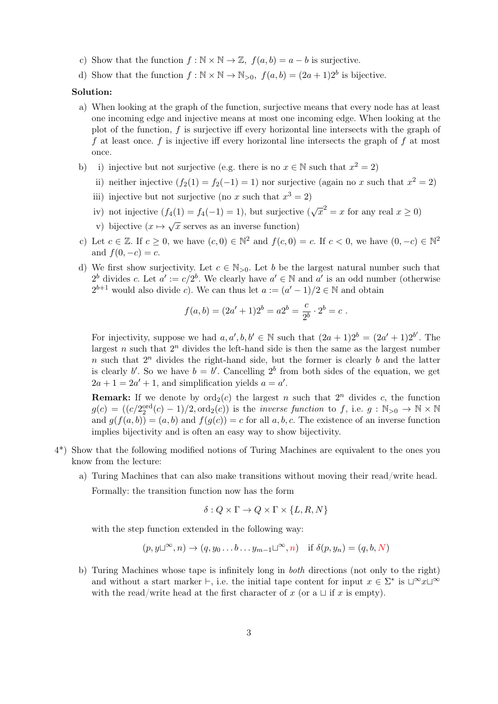- c) Show that the function  $f : \mathbb{N} \times \mathbb{N} \to \mathbb{Z}$ ,  $f(a, b) = a b$  is surjective.
- d) Show that the function  $f : \mathbb{N} \times \mathbb{N} \to \mathbb{N}_{>0}$ ,  $f(a, b) = (2a + 1)2^b$  is bijective.

## Solution:

- a) When looking at the graph of the function, surjective means that every node has at least one incoming edge and injective means at most one incoming edge. When looking at the plot of the function,  $f$  is surjective iff every horizontal line intersects with the graph of f at least once.  $f$  is injective iff every horizontal line intersects the graph of  $f$  at most once.
- b) i) injective but not surjective (e.g. there is no  $x \in \mathbb{N}$  such that  $x^2 = 2$ )
	- ii) neither injective  $(f_2(1) = f_2(-1) = 1)$  nor surjective (again no x such that  $x^2 = 2$ )
	- iii) injective but not surjective (no x such that  $x^3 = 2$ )
	- iv) not injective  $(f_4(1) = f_4(-1) = 1)$ , but surjective  $(\sqrt{x^2} = x$  for any real  $x \ge 0$ )
	- v) bijective  $(x \mapsto \sqrt{x})$  serves as an inverse function)
- c) Let  $c \in \mathbb{Z}$ . If  $c \geq 0$ , we have  $(c, 0) \in \mathbb{N}^2$  and  $f(c, 0) = c$ . If  $c < 0$ , we have  $(0, -c) \in \mathbb{N}^2$ and  $f(0, -c) = c$ .
- d) We first show surjectivity. Let  $c \in \mathbb{N}_{>0}$ . Let b be the largest natural number such that  $2^b$  divides c. Let  $a' := c/2^b$ . We clearly have  $a' \in \mathbb{N}$  and  $a'$  is an odd number (otherwise  $2^{b+1}$  would also divide c). We can thus let  $a := (a' - 1)/2 \in \mathbb{N}$  and obtain

$$
f(a,b) = (2a' + 1)2^{b} = a2^{b} = \frac{c}{2^{b}} \cdot 2^{b} = c.
$$

For injectivity, suppose we had  $a, a', b, b' \in \mathbb{N}$  such that  $(2a+1)2^b = (2a'+1)2^{b'}$ . The largest  $n$  such that  $2<sup>n</sup>$  divides the left-hand side is then the same as the largest number n such that  $2^n$  divides the right-hand side, but the former is clearly b and the latter is clearly b'. So we have  $b = b'$ . Cancelling  $2^b$  from both sides of the equation, we get  $2a + 1 = 2a' + 1$ , and simplification yields  $a = a'$ .

**Remark:** If we denote by  $\text{ord}_2(c)$  the largest n such that  $2^n$  divides c, the function  $g(c) = ((c/2_2^{\text{ord}}(c) - 1)/2, \text{ord}_2(c))$  is the *inverse function* to f, i.e.  $g : \mathbb{N}_{>0} \to \mathbb{N} \times \mathbb{N}$ and  $g(f(a, b)) = (a, b)$  and  $f(g(c)) = c$  for all a, b, c. The existence of an inverse function implies bijectivity and is often an easy way to show bijectivity.

- 4\*) Show that the following modified notions of Turing Machines are equivalent to the ones you know from the lecture:
	- a) Turing Machines that can also make transitions without moving their read/write head.

Formally: the transition function now has the form

$$
\delta: Q \times \Gamma \to Q \times \Gamma \times \{L, R, N\}
$$

with the step function extended in the following way:

$$
(p, y \sqcup^{\infty}, n) \to (q, y_0 \dots b \dots y_{m-1} \sqcup^{\infty}, n) \text{ if } \delta(p, y_n) = (q, b, N)
$$

b) Turing Machines whose tape is infinitely long in both directions (not only to the right) and without a start marker  $\vdash$ , i.e. the initial tape content for input  $x \in \Sigma^*$  is  $\Box^\infty x \Box^\infty$ with the read/write head at the first character of x (or a  $\sqcup$  if x is empty).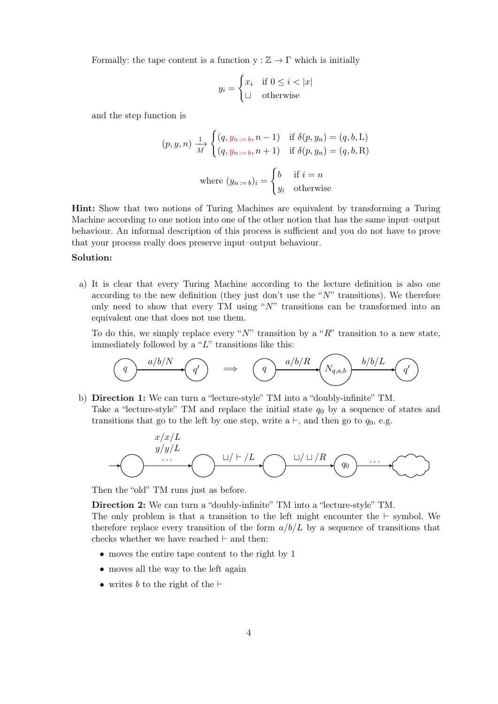Formally: the tape content is a function  $y : \mathbb{Z} \to \Gamma$  which is initially

$$
y_i = \begin{cases} x_i & \text{if } 0 \le i < |x| \\ \sqcup & \text{otherwise} \end{cases}
$$

and the step function is

$$
(p, y, n) \xrightarrow[M]{1} \begin{cases} (q, y_{n := b}, n - 1) & \text{if } \delta(p, y_{n}) = (q, b, L) \\ (q, y_{n := b}, n + 1) & \text{if } \delta(p, y_{n}) = (q, b, R) \end{cases}
$$
  
where  $(y_{n := b})_i = \begin{cases} b & \text{if } i = n \\ y_i & \text{otherwise} \end{cases}$ 

Hint: Show that two notions of Turing Machines are equivalent by transforming a Turing Machine according to one notion into one of the other notion that has the same input–output behaviour. An informal description of this process is sufficient and you do not have to prove that your process really does preserve input–output behaviour.

## Solution:

a) It is clear that every Turing Machine according to the lecture definition is also one according to the new definition (they just don't use the " $N$ " transitions). We therefore only need to show that every TM using " $N$ " transitions can be transformed into an equivalent one that does not use them.

To do this, we simply replace every "N" transition by a "R" transition to a new state, immediately followed by a " $L$ " transitions like this:



b) Direction 1: We can turn a "lecture-style" TM into a "doubly-infinite" TM. Take a "lecture-style" TM and replace the initial state  $q_0$  by a sequence of states and transitions that go to the left by one step, write  $a \vdash$ , and then go to  $q_0$ , e.g.



Then the "old" TM runs just as before.

Direction 2: We can turn a "doubly-infinite" TM into a "lecture-style" TM.

The only problem is that a transition to the left might encounter the  $\vdash$  symbol. We therefore replace every transition of the form  $a/b/L$  by a sequence of transitions that checks whether we have reached  $\vdash$  and then:

- moves the entire tape content to the right by 1
- moves all the way to the left again
- writes b to the right of the  $\vdash$